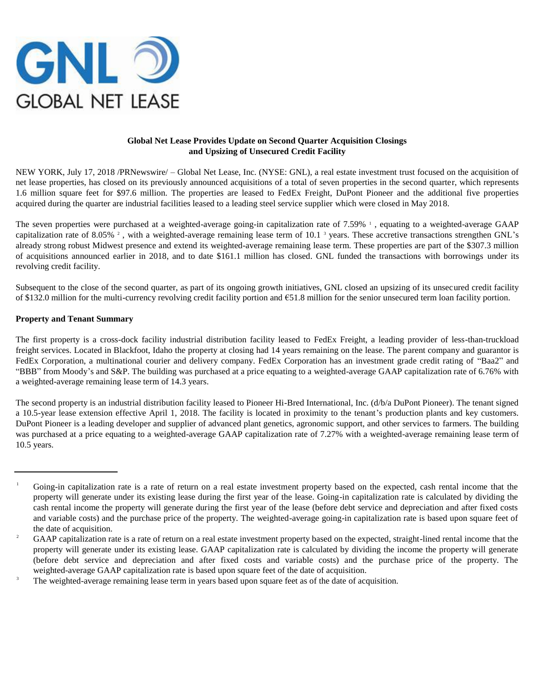

# **Global Net Lease Provides Update on Second Quarter Acquisition Closings and Upsizing of Unsecured Credit Facility**

NEW YORK, July 17, 2018 /PRNewswire/ – Global Net Lease, Inc. (NYSE: GNL), a real estate investment trust focused on the acquisition of net lease properties, has closed on its previously announced acquisitions of a total of seven properties in the second quarter, which represents 1.6 million square feet for \$97.6 million. The properties are leased to FedEx Freight, DuPont Pioneer and the additional five properties acquired during the quarter are industrial facilities leased to a leading steel service supplier which were closed in May 2018.

The seven properties were purchased at a weighted-average going-in capitalization rate of 7.59% <sup>1</sup>, equating to a weighted-average GAAP capitalization rate of 8.05%  $^2$ , with a weighted-average remaining lease term of 10.1  $^3$  years. These accretive transactions strengthen GNL's already strong robust Midwest presence and extend its weighted-average remaining lease term. These properties are part of the \$307.3 million of acquisitions announced earlier in 2018, and to date \$161.1 million has closed. GNL funded the transactions with borrowings under its revolving credit facility.

Subsequent to the close of the second quarter, as part of its ongoing growth initiatives, GNL closed an upsizing of its unsecured credit facility of \$132.0 million for the multi-currency revolving credit facility portion and €51.8 million for the senior unsecured term loan facility portion.

### **Property and Tenant Summary**

The first property is a cross-dock facility industrial distribution facility leased to FedEx Freight, a leading provider of less-than-truckload freight services. Located in Blackfoot, Idaho the property at closing had 14 years remaining on the lease. The parent company and guarantor is FedEx Corporation, a multinational courier and delivery company. FedEx Corporation has an investment grade credit rating of "Baa2" and "BBB" from Moody's and S&P. The building was purchased at a price equating to a weighted-average GAAP capitalization rate of 6.76% with a weighted-average remaining lease term of 14.3 years.

The second property is an industrial distribution facility leased to Pioneer Hi-Bred International, Inc. (d/b/a DuPont Pioneer). The tenant signed a 10.5-year lease extension effective April 1, 2018. The facility is located in proximity to the tenant's production plants and key customers. DuPont Pioneer is a leading developer and supplier of advanced plant genetics, agronomic support, and other services to farmers. The building was purchased at a price equating to a weighted-average GAAP capitalization rate of 7.27% with a weighted-average remaining lease term of 10.5 years.

<sup>&</sup>lt;sup>1</sup> Going-in capitalization rate is a rate of return on a real estate investment property based on the expected, cash rental income that the property will generate under its existing lease during the first year of the lease. Going-in capitalization rate is calculated by dividing the cash rental income the property will generate during the first year of the lease (before debt service and depreciation and after fixed costs and variable costs) and the purchase price of the property. The weighted-average going-in capitalization rate is based upon square feet of the date of acquisition.

<sup>&</sup>lt;sup>2</sup> GAAP capitalization rate is a rate of return on a real estate investment property based on the expected, straight-lined rental income that the property will generate under its existing lease. GAAP capitalization rate is calculated by dividing the income the property will generate (before debt service and depreciation and after fixed costs and variable costs) and the purchase price of the property. The weighted-average GAAP capitalization rate is based upon square feet of the date of acquisition.

<sup>&</sup>lt;sup>3</sup> The weighted-average remaining lease term in years based upon square feet as of the date of acquisition.